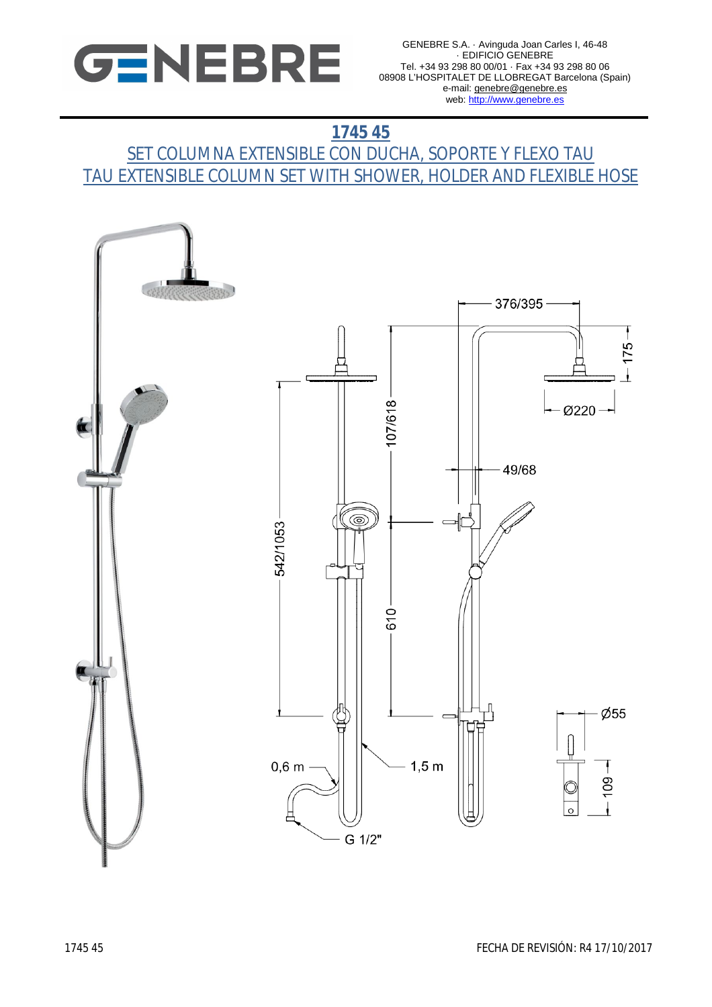

# **1745 45**

## <u>SET COLUMNA EXTENSIBLE CON DUCHA, SOPORTE Y FLEXO TAU</u> TAU EXTENSIBLE COLUMN SET WITH SHOWER, HOLDER AND FLEXIBLE HOSE

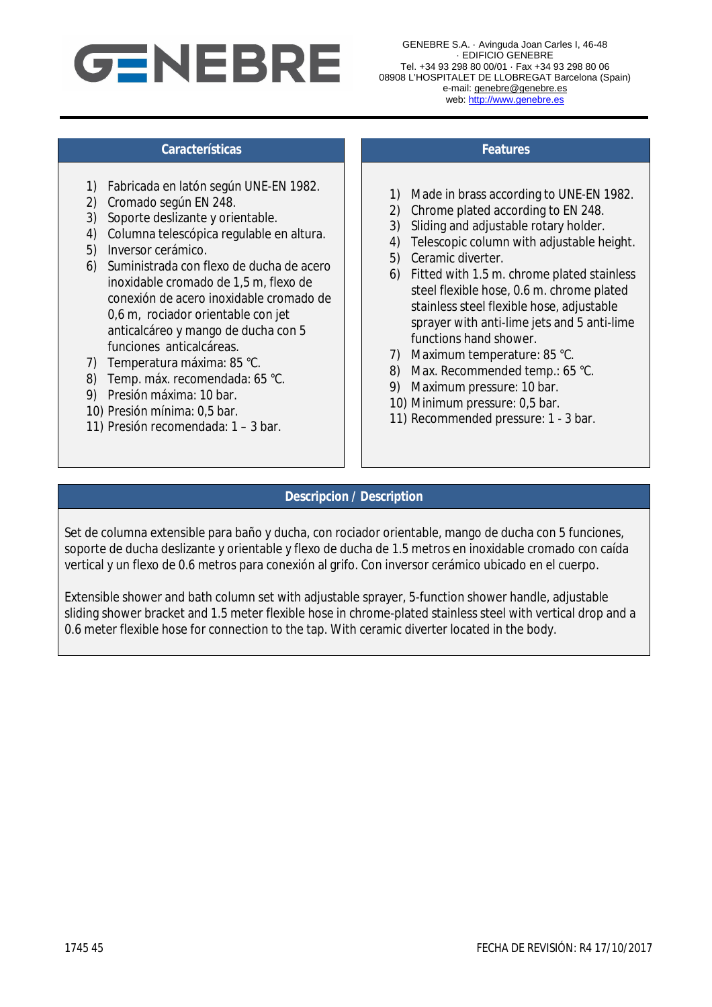

### **Características Features**

- 1) Fabricada en latón según UNE-EN 1982.
- 2) Cromado según EN 248.
- 3) Soporte deslizante y orientable.
- 4) Columna telescópica regulable en altura.
- 5) Inversor cerámico.
- 6) Suministrada con flexo de ducha de acero inoxidable cromado de 1,5 m, flexo de conexión de acero inoxidable cromado de 0,6 m, rociador orientable con jet anticalcáreo y mango de ducha con 5 funciones anticalcáreas.
- 7) Temperatura máxima: 85 °C.
- 8) Temp. máx. recomendada: 65 °C.
- 9) Presión máxima: 10 bar.
- 10) Presión mínima: 0,5 bar.
- 11) Presión recomendada: 1 3 bar.

- 1) Made in brass according to UNE-EN 1982.
- 2) Chrome plated according to EN 248.
- 3) Sliding and adjustable rotary holder.
- 4) Telescopic column with adjustable height.
- 5) Ceramic diverter.
- 6) Fitted with 1.5 m. chrome plated stainless steel flexible hose, 0.6 m. chrome plated stainless steel flexible hose, adjustable sprayer with anti-lime jets and 5 anti-lime functions hand shower.
- 7) Maximum temperature: 85 °C.
- 8) Max. Recommended temp.: 65 °C.
- 9) Maximum pressure: 10 bar.
- 10) Minimum pressure: 0,5 bar.
- 11) Recommended pressure: 1 3 bar.

### **Descripcion / Description**

Set de columna extensible para baño y ducha, con rociador orientable, mango de ducha con 5 funciones, soporte de ducha deslizante y orientable y flexo de ducha de 1.5 metros en inoxidable cromado con caída vertical y un flexo de 0.6 metros para conexión al grifo. Con inversor cerámico ubicado en el cuerpo.

Extensible shower and bath column set with adjustable sprayer, 5-function shower handle, adjustable sliding shower bracket and 1.5 meter flexible hose in chrome-plated stainless steel with vertical drop and a 0.6 meter flexible hose for connection to the tap. With ceramic diverter located in the body.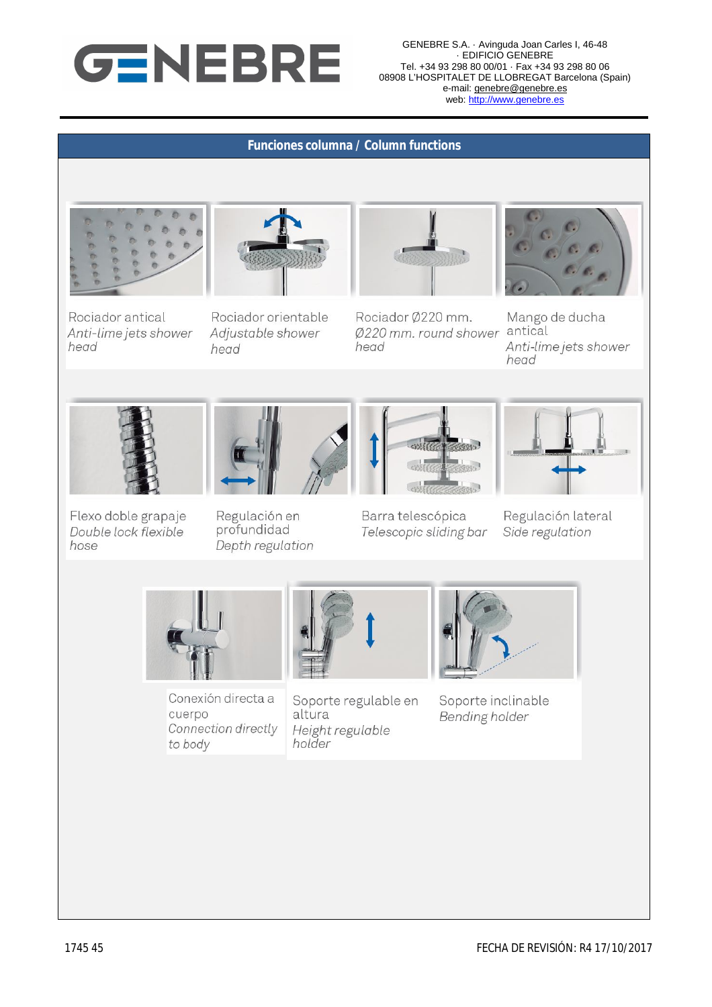

GENEBRE S.A. · Avinguda Joan Carles I, 46-48 · EDIFICIO GENEBRE Tel. +34 93 298 80 00/01 · Fax +34 93 298 80 06 08908 L'HOSPITALET DE LLOBREGAT Barcelona (Spain) e-mail: genebre@genebre.es web: http://www.genebre.es

#### **Funciones columna / Column functions**



Rociador antical

head

Anti-lime jets shower



Rociador orientable

Adjustable shower

head

Rociador Ø220 mm. Ø220 mm. round shower antical head



Mango de ducha Anti-lime jets shower head



Flexo doble grapaje Double lock flexible hose



Regulación en profundidad Depth regulation



Barra telescópica Telescopic sliding bar



Regulación lateral Side regulation



Conexión directa a cuerpo Connection directly to body



Soporte regulable en altura Height regulable holder



Soporte inclinable **Bending holder**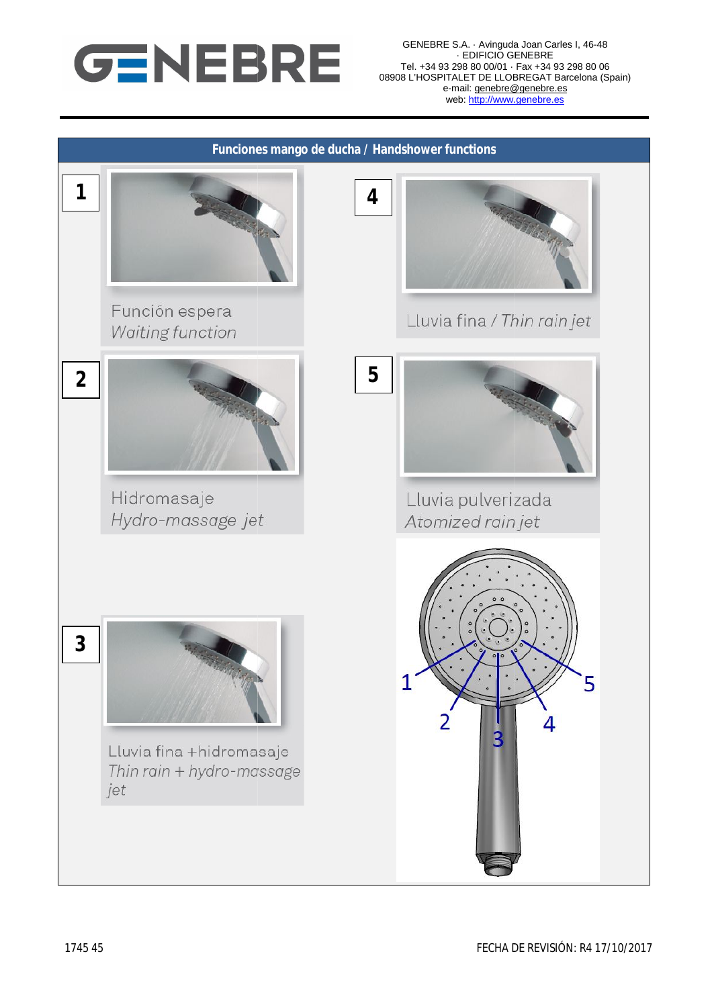

GENEBRE S.A. · Avinguda Joan Carles · EDIFICIO GENEBRE Tel. +34 93 298 80 00/01 · Fax +34 93 298 80 06 08908 L'HOSPITALET DE LLOBREGAT Barcelona (Spain) e-mail: genebre@genebre.es web: http://www.genebre.es vinguda Joan Carles I, 46-48

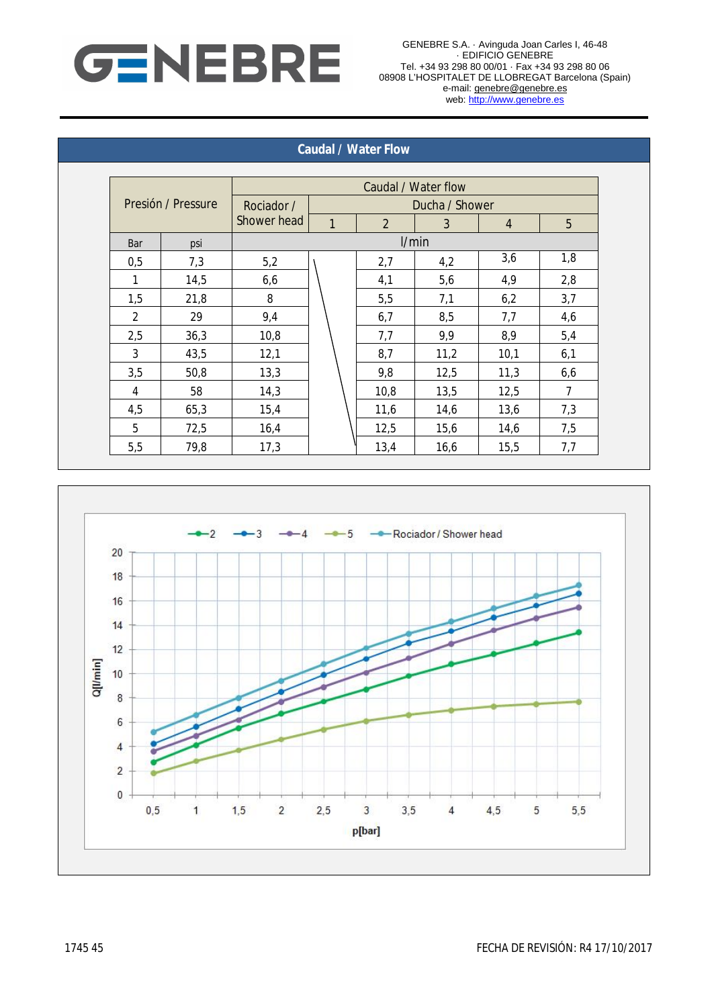

#### **Caudal / Water Flow**

| Presión / Pressure |      | Caudal / Water flow          |       |                |      |                |     |  |
|--------------------|------|------------------------------|-------|----------------|------|----------------|-----|--|
|                    |      | Ducha / Shower<br>Rociador / |       |                |      |                |     |  |
|                    |      | Shower head                  | 1     | $\overline{2}$ | 3    | $\overline{4}$ | 5   |  |
| Bar                | psi  |                              | I/min |                |      |                |     |  |
| 0,5                | 7,3  | 5,2                          |       | 2,7            | 4,2  | 3,6            | 1,8 |  |
| 1                  | 14,5 | 6,6                          |       | 4,1            | 5,6  | 4,9            | 2,8 |  |
| 1,5                | 21,8 | 8                            |       | 5,5            | 7,1  | 6,2            | 3,7 |  |
| 2                  | 29   | 9,4                          |       | 6,7            | 8,5  | 7,7            | 4,6 |  |
| 2,5                | 36,3 | 10,8                         |       | 7,7            | 9,9  | 8,9            | 5,4 |  |
| 3                  | 43,5 | 12,1                         |       | 8,7            | 11,2 | 10,1           | 6,1 |  |
| 3,5                | 50,8 | 13,3                         |       | 9,8            | 12,5 | 11,3           | 6,6 |  |
| 4                  | 58   | 14,3                         |       | 10,8           | 13,5 | 12,5           | 7   |  |
| 4,5                | 65,3 | 15,4                         |       | 11,6           | 14,6 | 13,6           | 7,3 |  |
| 5                  | 72,5 | 16,4                         |       | 12,5           | 15,6 | 14,6           | 7,5 |  |
| 5,5                | 79,8 | 17,3                         |       | 13,4           | 16,6 | 15,5           | 7,7 |  |

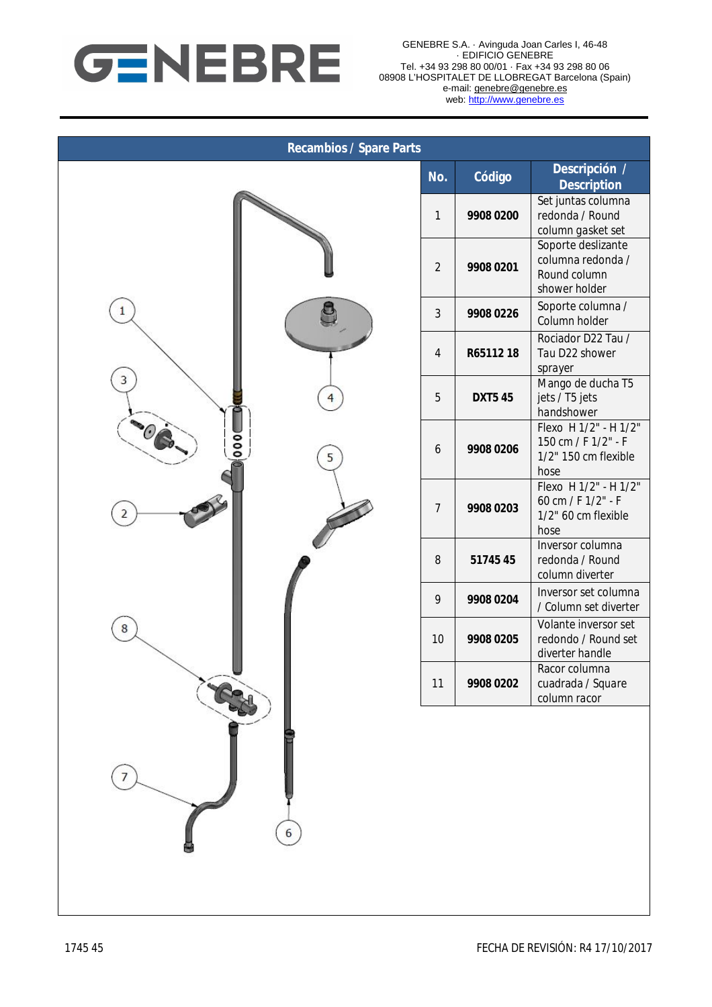

| <b>Recambios / Spare Parts</b> |                |                |                                                                              |  |  |  |  |  |
|--------------------------------|----------------|----------------|------------------------------------------------------------------------------|--|--|--|--|--|
|                                | No.            | Código         | Descripción /<br><b>Description</b>                                          |  |  |  |  |  |
|                                | $\mathbf{1}$   | 9908 0200      | Set juntas columna<br>redonda / Round<br>column gasket set                   |  |  |  |  |  |
|                                | $\overline{2}$ | 9908 0201      | Soporte deslizante<br>columna redonda /<br>Round column<br>shower holder     |  |  |  |  |  |
| 1                              | $\mathbf{3}$   | 9908 0226      | Soporte columna /<br>Column holder                                           |  |  |  |  |  |
|                                | $\overline{4}$ | R65112 18      | Rociador D22 Tau /<br>Tau D22 shower<br>sprayer                              |  |  |  |  |  |
| 3<br>$\overline{4}$            | 5              | <b>DXT5 45</b> | Mango de ducha T5<br>jets / T5 jets<br>handshower                            |  |  |  |  |  |
| 000<br>5                       | 6              | 9908 0206      | Flexo H 1/2" - H 1/2"<br>150 cm / F 1/2" - F<br>1/2" 150 cm flexible<br>hose |  |  |  |  |  |
| 2                              | $\overline{7}$ | 9908 0203      | Flexo H 1/2" - H 1/2"<br>60 cm / F 1/2" - F<br>1/2" 60 cm flexible<br>hose   |  |  |  |  |  |
|                                | 8              | 5174545        | Inversor columna<br>redonda / Round<br>column diverter                       |  |  |  |  |  |
|                                | 9              | 9908 0204      | Inversor set columna<br>/ Column set diverter                                |  |  |  |  |  |
| 8                              | 10             | 9908 0205      | Volante inversor set<br>redondo / Round set<br>diverter handle               |  |  |  |  |  |
|                                | 11             | 9908 0202      | Racor columna<br>cuadrada / Square<br>column racor                           |  |  |  |  |  |
| 6                              |                |                |                                                                              |  |  |  |  |  |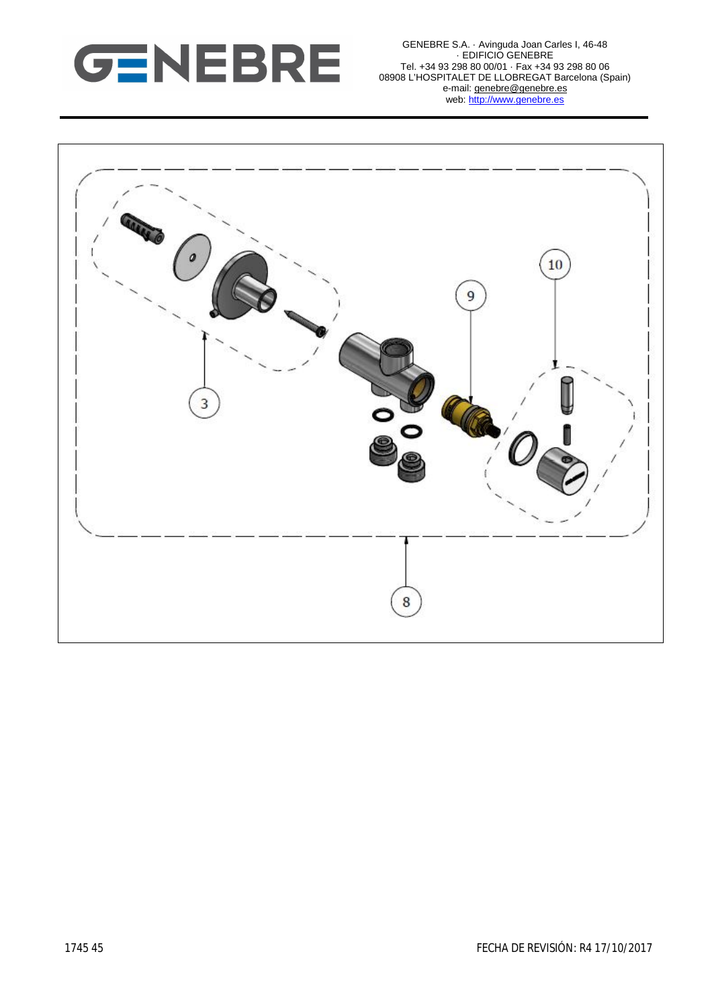

GENEBRE S.A. · Avinguda Joan Carles I, 46-48 · EDIFICIO GENEBRE Tel. +34 93 298 80 00/01 · Fax +34 93 298 80 06 08908 L'HOSPITALET DE LLOBREGAT Barcelona (Spain) e-mail: genebre@genebre.es web: http://www.genebre.es